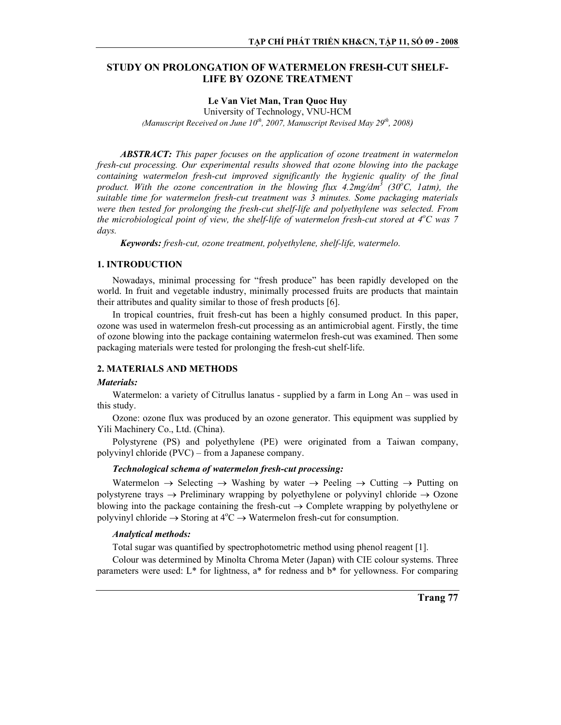# **STUDY ON PROLONGATION OF WATERMELON FRESH-CUT SHELF-LIFE BY OZONE TREATMENT**

# **Le Van Viet Man, Tran Quoc Huy**

University of Technology, VNU-HCM *(Manuscript Received on June 10th, 2007, Manuscript Revised May 29th, 2008)*

*ABSTRACT: This paper focuses on the application of ozone treatment in watermelon fresh-cut processing. Our experimental results showed that ozone blowing into the package containing watermelon fresh-cut improved significantly the hygienic quality of the final*  product. With the ozone concentration in the blowing flux 4.2mg/dm<sup>3</sup> (30<sup>o</sup>C, 1atm), the *suitable time for watermelon fresh-cut treatment was 3 minutes. Some packaging materials were then tested for prolonging the fresh-cut shelf-life and polyethylene was selected. From the microbiological point of view, the shelf-life of watermelon fresh-cut stored at 4<sup>o</sup> C was 7 days.* 

*Keywords: fresh-cut, ozone treatment, polyethylene, shelf-life, watermelo.* 

## **1. INTRODUCTION**

Nowadays, minimal processing for "fresh produce" has been rapidly developed on the world. In fruit and vegetable industry, minimally processed fruits are products that maintain their attributes and quality similar to those of fresh products [6].

In tropical countries, fruit fresh-cut has been a highly consumed product. In this paper, ozone was used in watermelon fresh-cut processing as an antimicrobial agent. Firstly, the time of ozone blowing into the package containing watermelon fresh-cut was examined. Then some packaging materials were tested for prolonging the fresh-cut shelf-life.

### **2. MATERIALS AND METHODS**

### *Materials:*

Watermelon: a variety of Citrullus lanatus - supplied by a farm in Long An – was used in this study.

Ozone: ozone flux was produced by an ozone generator. This equipment was supplied by Yili Machinery Co., Ltd. (China).

Polystyrene (PS) and polyethylene (PE) were originated from a Taiwan company, polyvinyl chloride (PVC) – from a Japanese company.

# *Technological schema of watermelon fresh-cut processing:*

Watermelon  $\rightarrow$  Selecting  $\rightarrow$  Washing by water  $\rightarrow$  Peeling  $\rightarrow$  Cutting  $\rightarrow$  Putting on polystyrene trays  $\rightarrow$  Preliminary wrapping by polyethylene or polyvinyl chloride  $\rightarrow$  Ozone blowing into the package containing the fresh-cut  $\rightarrow$  Complete wrapping by polyethylene or polyvinyl chloride  $\rightarrow$  Storing at 4°C  $\rightarrow$  Watermelon fresh-cut for consumption.

### *Analytical methods:*

Total sugar was quantified by spectrophotometric method using phenol reagent [1].

Colour was determined by Minolta Chroma Meter (Japan) with CIE colour systems. Three parameters were used: L\* for lightness, a\* for redness and b\* for yellowness. For comparing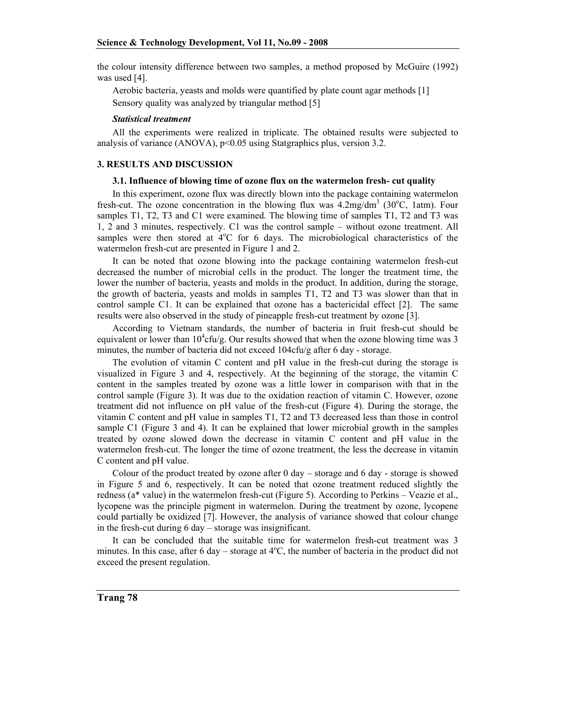the colour intensity difference between two samples, a method proposed by McGuire (1992) was used [4].

Aerobic bacteria, yeasts and molds were quantified by plate count agar methods [1] Sensory quality was analyzed by triangular method [5]

#### *Statistical treatment*

All the experiments were realized in triplicate. The obtained results were subjected to analysis of variance (ANOVA), p<0.05 using Statgraphics plus, version 3.2.

#### **3. RESULTS AND DISCUSSION**

#### **3.1. Influence of blowing time of ozone flux on the watermelon fresh- cut quality**

In this experiment, ozone flux was directly blown into the package containing watermelon fresh-cut. The ozone concentration in the blowing flux was  $4.2 \text{mg/dm}^3$  (30°C, 1atm). Four samples T1, T2, T3 and C1 were examined. The blowing time of samples T1, T2 and T3 was 1, 2 and 3 minutes, respectively. C1 was the control sample – without ozone treatment. All samples were then stored at  $4^{\circ}$ C for 6 days. The microbiological characteristics of the watermelon fresh-cut are presented in Figure 1 and 2.

It can be noted that ozone blowing into the package containing watermelon fresh-cut decreased the number of microbial cells in the product. The longer the treatment time, the lower the number of bacteria, yeasts and molds in the product. In addition, during the storage, the growth of bacteria, yeasts and molds in samples T1, T2 and T3 was slower than that in control sample C1. It can be explained that ozone has a bactericidal effect [2]. The same results were also observed in the study of pineapple fresh-cut treatment by ozone [3].

According to Vietnam standards, the number of bacteria in fruit fresh-cut should be equivalent or lower than  $10^4$ cfu/g. Our results showed that when the ozone blowing time was 3 minutes, the number of bacteria did not exceed 104cfu/g after 6 day - storage.

The evolution of vitamin C content and pH value in the fresh-cut during the storage is visualized in Figure 3 and 4, respectively. At the beginning of the storage, the vitamin C content in the samples treated by ozone was a little lower in comparison with that in the control sample (Figure 3). It was due to the oxidation reaction of vitamin C. However, ozone treatment did not influence on pH value of the fresh-cut (Figure 4). During the storage, the vitamin C content and pH value in samples T1, T2 and T3 decreased less than those in control sample C1 (Figure 3 and 4). It can be explained that lower microbial growth in the samples treated by ozone slowed down the decrease in vitamin C content and pH value in the watermelon fresh-cut. The longer the time of ozone treatment, the less the decrease in vitamin C content and pH value.

Colour of the product treated by ozone after 0 day – storage and 6 day - storage is showed in Figure 5 and 6, respectively. It can be noted that ozone treatment reduced slightly the redness (a\* value) in the watermelon fresh-cut (Figure 5). According to Perkins – Veazie et al., lycopene was the principle pigment in watermelon. During the treatment by ozone, lycopene could partially be oxidized [7]. However, the analysis of variance showed that colour change in the fresh-cut during 6 day – storage was insignificant.

It can be concluded that the suitable time for watermelon fresh-cut treatment was 3 minutes. In this case, after 6 day – storage at  $4^{\circ}$ C, the number of bacteria in the product did not exceed the present regulation.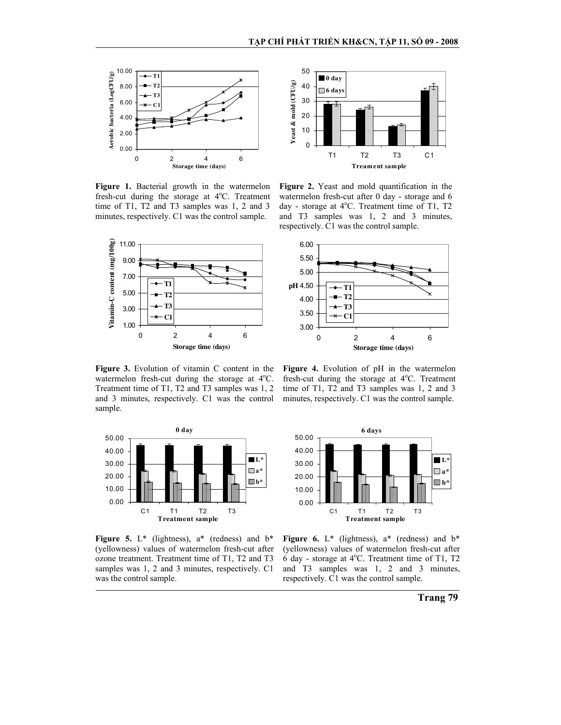50



**Figure 1.** Bacterial growth in the watermelon fresh-cut during the storage at 4°C. Treatment time of T1, T2 and T3 samples was 1, 2 and 3 minutes, respectively. C1 was the control sample.



**Figure 3.** Evolution of vitamin C content in the watermelon fresh-cut during the storage at 4°C. Treatment time of T1, T2 and T3 samples was 1, 2 and 3 minutes, respectively. C1 was the control sample.



**Figure 2.** Yeast and mold quantification in the watermelon fresh-cut after 0 day - storage and 6 day - storage at 4°C. Treatment time of T1, T2 and T3 samples was 1, 2 and 3 minutes, respectively. C1 was the control sample.



**Figure 4.** Evolution of pH in the watermelon fresh-cut during the storage at 4°C. Treatment time of T1, T2 and T3 samples was 1, 2 and 3 minutes, respectively. C1 was the control sample.



**Figure 5.**  $L^*$  (lightness),  $a^*$  (redness) and  $b^*$ (yellowness) values of watermelon fresh-cut after ozone treatment. Treatment time of T1, T2 and T3 samples was 1, 2 and 3 minutes, respectively. C1 was the control sample.



**Figure 6.**  $L^*$  (lightness),  $a^*$  (redness) and  $b^*$ (yellowness) values of watermelon fresh-cut after  $\ddot{6}$  day - storage at 4°C. Treatment time of T1, T2 and T3 samples was 1, 2 and 3 minutes, respectively. C1 was the control sample.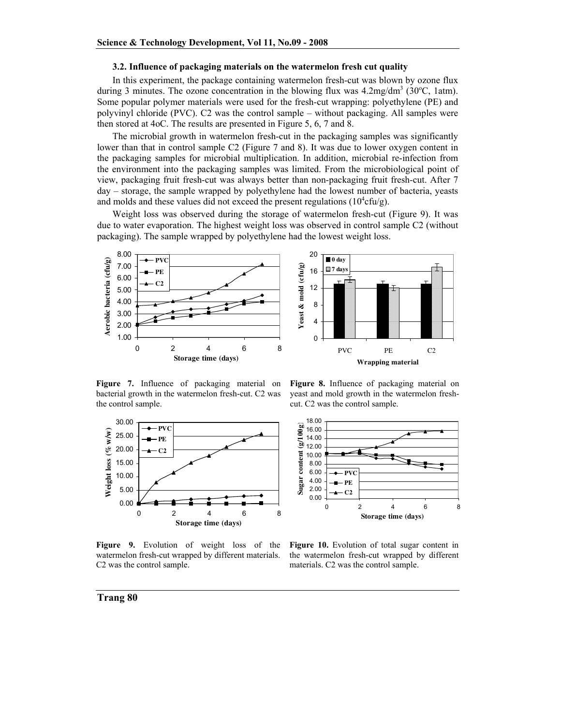#### **3.2. Influence of packaging materials on the watermelon fresh cut quality**

In this experiment, the package containing watermelon fresh-cut was blown by ozone flux during 3 minutes. The ozone concentration in the blowing flux was  $4.2 \text{mg/dm}^3$  (30°C, 1atm). Some popular polymer materials were used for the fresh-cut wrapping: polyethylene (PE) and polyvinyl chloride (PVC). C2 was the control sample – without packaging. All samples were then stored at 4oC. The results are presented in Figure 5, 6, 7 and 8.

The microbial growth in watermelon fresh-cut in the packaging samples was significantly lower than that in control sample C2 (Figure 7 and 8). It was due to lower oxygen content in the packaging samples for microbial multiplication. In addition, microbial re-infection from the environment into the packaging samples was limited. From the microbiological point of view, packaging fruit fresh-cut was always better than non-packaging fruit fresh-cut. After 7 day – storage, the sample wrapped by polyethylene had the lowest number of bacteria, yeasts and molds and these values did not exceed the present regulations ( $10^4$ cfu/g).

Weight loss was observed during the storage of watermelon fresh-cut (Figure 9). It was due to water evaporation. The highest weight loss was observed in control sample C2 (without packaging). The sample wrapped by polyethylene had the lowest weight loss.



**Figure 7.** Influence of packaging material on bacterial growth in the watermelon fresh-cut. C2 was the control sample.



**Figure 8.** Influence of packaging material on yeast and mold growth in the watermelon freshcut. C2 was the control sample.



**Figure 9.** Evolution of weight loss of the watermelon fresh-cut wrapped by different materials. C2 was the control sample.

**Figure 10.** Evolution of total sugar content in the watermelon fresh-cut wrapped by different materials. C2 was the control sample.

#### **Trang 80**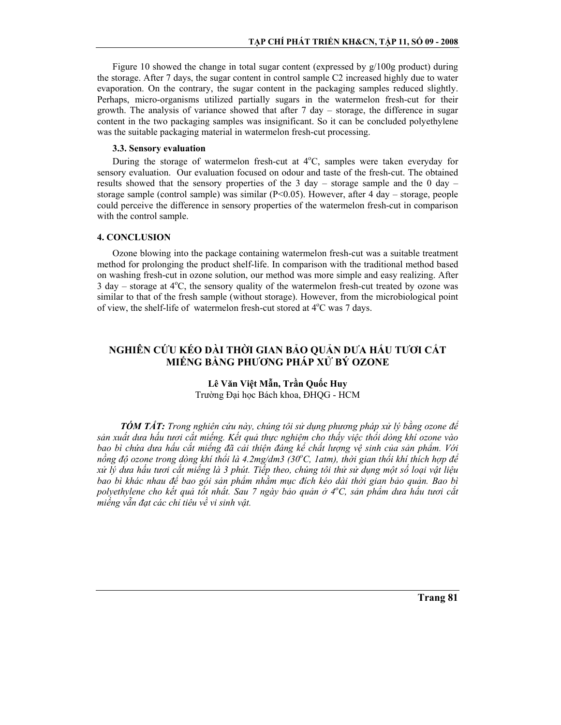Figure 10 showed the change in total sugar content (expressed by  $g/100g$  product) during the storage. After 7 days, the sugar content in control sample C2 increased highly due to water evaporation. On the contrary, the sugar content in the packaging samples reduced slightly. Perhaps, micro-organisms utilized partially sugars in the watermelon fresh-cut for their growth. The analysis of variance showed that after  $7 \text{ day}$  - storage, the difference in sugar content in the two packaging samples was insignificant. So it can be concluded polyethylene was the suitable packaging material in watermelon fresh-cut processing.

# 3.3. Sensory evaluation

During the storage of watermelon fresh-cut at  $4^{\circ}$ C, samples were taken everyday for sensory evaluation. Our evaluation focused on odour and taste of the fresh-cut. The obtained results showed that the sensory properties of the 3 day – storage sample and the 0 day – storage sample (control sample) was similar ( $P<0.05$ ). However, after 4 day – storage, people could perceive the difference in sensory properties of the watermelon fresh-cut in comparison with the control sample.

### **4. CONCLUSION**

Ozone blowing into the package containing watermelon fresh-cut was a suitable treatment method for prolonging the product shelf-life. In comparison with the traditional method based on washing fresh-cut in ozone solution, our method was more simple and easy realizing. After 3 day – storage at  $4^{\circ}$ C, the sensory quality of the watermelon fresh-cut treated by ozone was similar to that of the fresh sample (without storage). However, from the microbiological point of view, the shelf-life of watermelon fresh-cut stored at 4°C was 7 days.

# NGHIÊN CỨU KÉO DÀI THỜI GIAN BẢO OUẢN DƯA HẤU TƯƠI CẮT MIẾNG BẰNG PHƯƠNG PHÁP XỬ BÝ OZONE

# Lê Văn Việt Mẫn, Trần Quốc Huy Trường Đại học Bách khoa, ĐHQG - HCM

**TÓM TẤT:** Trong nghiên cứu này, chúng tôi sử dụng phương pháp xử lý bằng ozone để sản xuất dưa hấu tươi cắt miếng. Kết quả thực nghiêm cho thấy việc thổi dòng khí ozone vào bao bì chứa dưa hấu cắt miếng đã cải thiện đáng kể chất lượng vệ sinh của sản phẩm. Với nồng đô ozone trong dòng khí thổi là 4.2mg/dm3 (30°C, 1atm), thời gian thổi khí thích hợp để xử lý dưa hấu tươi cắt miếng là 3 phút. Tiếp theo, chúng tôi thử sử dung môt số loai vật liêu bao bì khác nhau để bao gói sản phẩm nhằm muc đích kéo dài thời gian bảo quản. Bao bì polyethylene cho kết quả tốt nhất. Sau 7 ngày bảo quản ở 4°C, sản phẩm dưa hấu tươi cắt miếng vẫn đạt các chỉ tiêu về vi sinh vật.